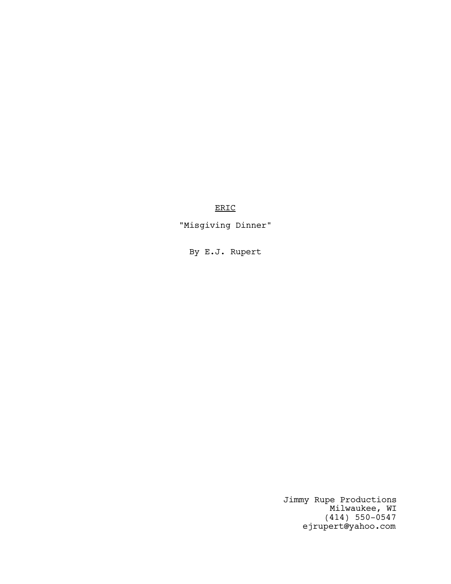ERIC

"Misgiving Dinner"

By E.J. Rupert

Jimmy Rupe Productions Milwaukee, WI (414) 550-0547 ejrupert@yahoo.com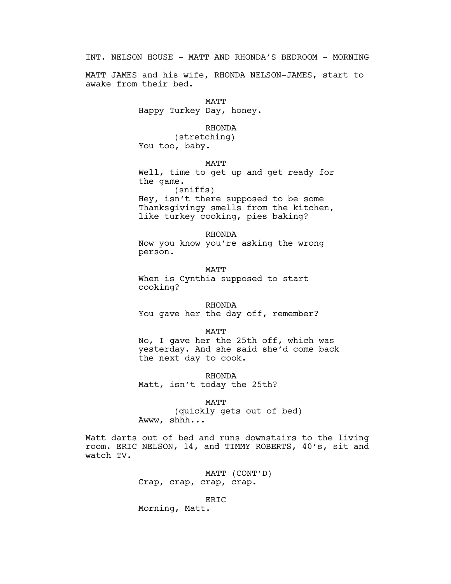INT. NELSON HOUSE - MATT AND RHONDA'S BEDROOM - MORNING

MATT JAMES and his wife, RHONDA NELSON-JAMES, start to awake from their bed.

> MATT Happy Turkey Day, honey.

## RHONDA

(stretching) You too, baby.

MATT

Well, time to get up and get ready for the game.

(sniffs) Hey, isn't there supposed to be some Thanksgivingy smells from the kitchen, like turkey cooking, pies baking?

RHONDA Now you know you're asking the wrong person.

**MATT** When is Cynthia supposed to start cooking?

RHONDA You gave her the day off, remember?

MATT No, I gave her the 25th off, which was yesterday. And she said she'd come back the next day to cook.

RHONDA Matt, isn't today the 25th?

MATT (quickly gets out of bed) Awww, shhh...

Matt darts out of bed and runs downstairs to the living room. ERIC NELSON, 14, and TIMMY ROBERTS, 40's, sit and watch TV.

> MATT (CONT'D) Crap, crap, crap, crap.

> > ERIC

Morning, Matt.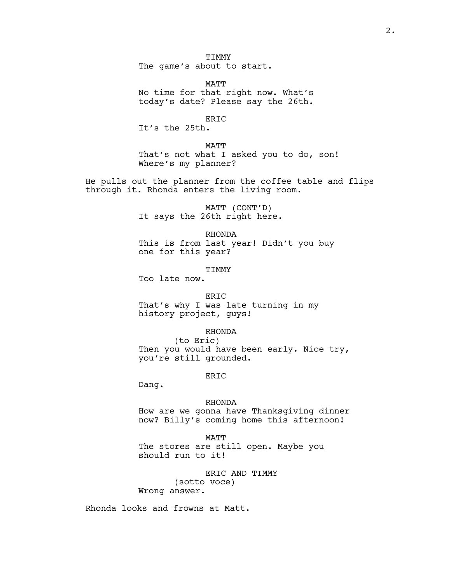**TTMMY** The game's about to start.

MATT No time for that right now. What's today's date? Please say the 26th.

ERIC

It's the 25th.

MATT

That's not what I asked you to do, son! Where's my planner?

He pulls out the planner from the coffee table and flips through it. Rhonda enters the living room.

> MATT (CONT'D) It says the 26th right here.

RHONDA This is from last year! Didn't you buy one for this year?

**TTMMY** 

Too late now.

#### ERIC

That's why I was late turning in my history project, guys!

### RHONDA

(to Eric) Then you would have been early. Nice try, you're still grounded.

### ERIC

Dang.

### RHONDA

How are we gonna have Thanksgiving dinner now? Billy's coming home this afternoon!

MATT

The stores are still open. Maybe you should run to it!

ERIC AND TIMMY (sotto voce) Wrong answer.

Rhonda looks and frowns at Matt.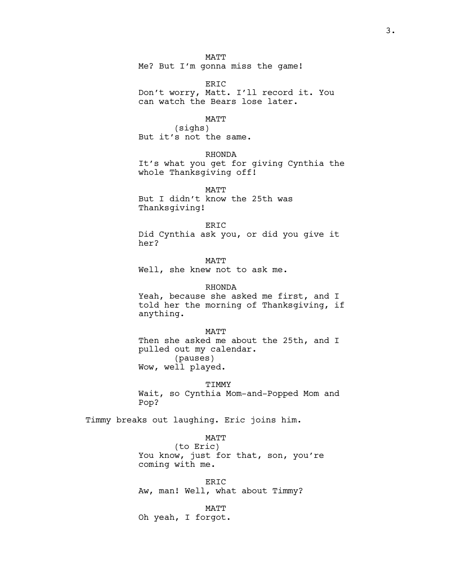### MATT

Me? But I'm gonna miss the game!

ERIC Don't worry, Matt. I'll record it. You can watch the Bears lose later.

#### MATT

(sighs) But it's not the same.

RHONDA

It's what you get for giving Cynthia the whole Thanksgiving off!

MATT But I didn't know the 25th was Thanksgiving!

#### ERIC

Did Cynthia ask you, or did you give it her?

MATT Well, she knew not to ask me.

RHONDA Yeah, because she asked me first, and I told her the morning of Thanksgiving, if anything.

MATT Then she asked me about the 25th, and I pulled out my calendar. (pauses) Wow, well played.

TIMMY Wait, so Cynthia Mom-and-Popped Mom and Pop?

Timmy breaks out laughing. Eric joins him.

### MATT

(to Eric) You know, just for that, son, you're coming with me.

ERIC Aw, man! Well, what about Timmy?

MATT Oh yeah, I forgot.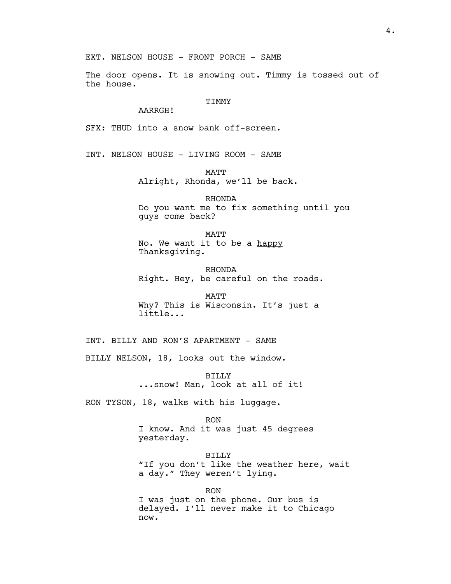The door opens. It is snowing out. Timmy is tossed out of the house.

### TIMMY

## AARRGH!

SFX: THUD into a snow bank off-screen.

INT. NELSON HOUSE - LIVING ROOM - SAME

MATT

Alright, Rhonda, we'll be back.

RHONDA Do you want me to fix something until you guys come back?

MATT No. We want it to be a happy Thanksgiving.

RHONDA Right. Hey, be careful on the roads.

MATT Why? This is Wisconsin. It's just a little...

INT. BILLY AND RON'S APARTMENT - SAME

BILLY NELSON, 18, looks out the window.

BILLY ...snow! Man, look at all of it!

RON TYSON, 18, walks with his luggage.

RON

I know. And it was just 45 degrees yesterday.

BILLY "If you don't like the weather here, wait a day." They weren't lying.

RON I was just on the phone. Our bus is delayed. I'll never make it to Chicago now.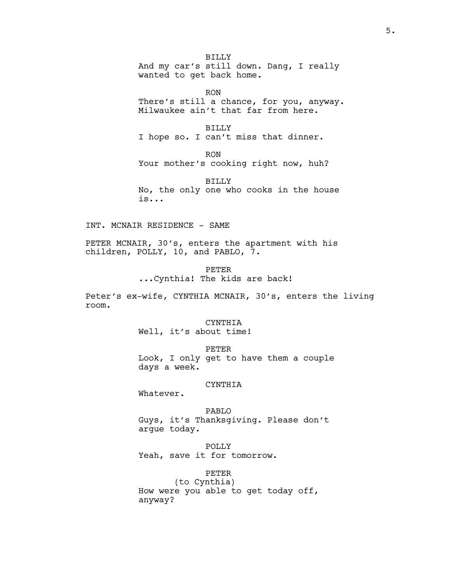BILLY And my car's still down. Dang, I really wanted to get back home.

RON There's still a chance, for you, anyway. Milwaukee ain't that far from here.

BILLY I hope so. I can't miss that dinner.

RON Your mother's cooking right now, huh?

BILLY No, the only one who cooks in the house is...

INT. MCNAIR RESIDENCE - SAME

PETER MCNAIR, 30's, enters the apartment with his children, POLLY, 10, and PABLO, 7.

> PETER ...Cynthia! The kids are back!

Peter's ex-wife, CYNTHIA MCNAIR, 30's, enters the living room.

CYNTHIA

Well, it's about time!

PETER Look, I only get to have them a couple days a week.

### CYNTHIA

Whatever.

PABLO Guys, it's Thanksgiving. Please don't argue today.

POLLY

Yeah, save it for tomorrow.

PETER

(to Cynthia) How were you able to get today off, anyway?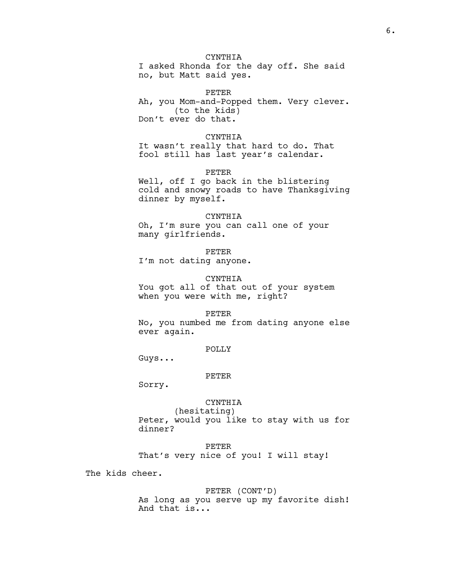# CYNTHIA

I asked Rhonda for the day off. She said no, but Matt said yes.

PETER Ah, you Mom-and-Popped them. Very clever. (to the kids) Don't ever do that.

## CYNTHIA

It wasn't really that hard to do. That fool still has last year's calendar.

PETER

Well, off I go back in the blistering cold and snowy roads to have Thanksgiving dinner by myself.

#### CYNTHIA

Oh, I'm sure you can call one of your many girlfriends.

PETER

I'm not dating anyone.

#### CYNTHIA

You got all of that out of your system when you were with me, right?

#### PETER

No, you numbed me from dating anyone else ever again.

### POLLY

Guys...

#### PETER

Sorry.

# CYNTHIA

(hesitating) Peter, would you like to stay with us for dinner?

#### PETER

That's very nice of you! I will stay!

The kids cheer.

### PETER (CONT'D)

As long as you serve up my favorite dish! And that is...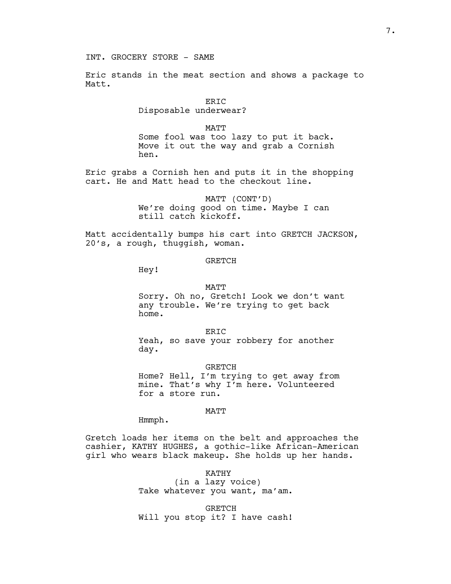INT. GROCERY STORE - SAME

Eric stands in the meat section and shows a package to Matt.

> ERIC Disposable underwear?

> > MATT

Some fool was too lazy to put it back. Move it out the way and grab a Cornish hen.

Eric grabs a Cornish hen and puts it in the shopping cart. He and Matt head to the checkout line.

> MATT (CONT'D) We're doing good on time. Maybe I can still catch kickoff.

Matt accidentally bumps his cart into GRETCH JACKSON, 20's, a rough, thuggish, woman.

### GRETCH

Hey!

#### MATT

Sorry. Oh no, Gretch! Look we don't want any trouble. We're trying to get back home.

ER<sub>TC</sub> Yeah, so save your robbery for another day.

**GRETCH** Home? Hell, I'm trying to get away from mine. That's why I'm here. Volunteered for a store run.

#### MATT

Hmmph.

Gretch loads her items on the belt and approaches the cashier, KATHY HUGHES, a gothic-like African-American girl who wears black makeup. She holds up her hands.

> KATHY (in a lazy voice) Take whatever you want, ma'am.

> **GRETCH** Will you stop it? I have cash!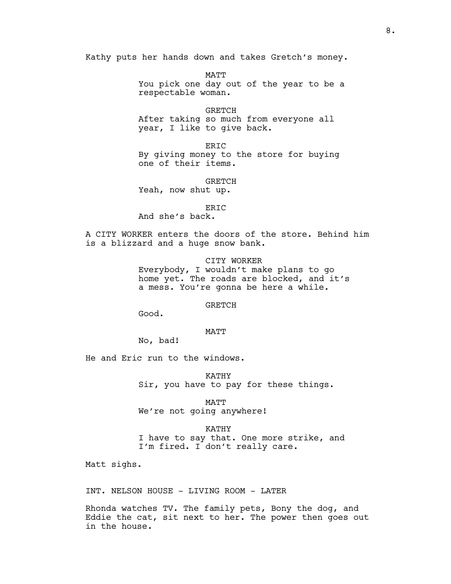Kathy puts her hands down and takes Gretch's money.

MATT You pick one day out of the year to be a respectable woman.

GRETCH After taking so much from everyone all year, I like to give back.

ERIC By giving money to the store for buying one of their items.

**GRETCH** 

Yeah, now shut up.

ERIC And she's back.

A CITY WORKER enters the doors of the store. Behind him is a blizzard and a huge snow bank.

> CITY WORKER Everybody, I wouldn't make plans to go home yet. The roads are blocked, and it's a mess. You're gonna be here a while.

> > GRETCH

Good.

## MATT

No, bad!

He and Eric run to the windows.

KATHY Sir, you have to pay for these things.

MATT We're not going anywhere!

KATHY

I have to say that. One more strike, and I'm fired. I don't really care.

Matt sighs.

INT. NELSON HOUSE - LIVING ROOM - LATER

Rhonda watches TV. The family pets, Bony the dog, and Eddie the cat, sit next to her. The power then goes out in the house.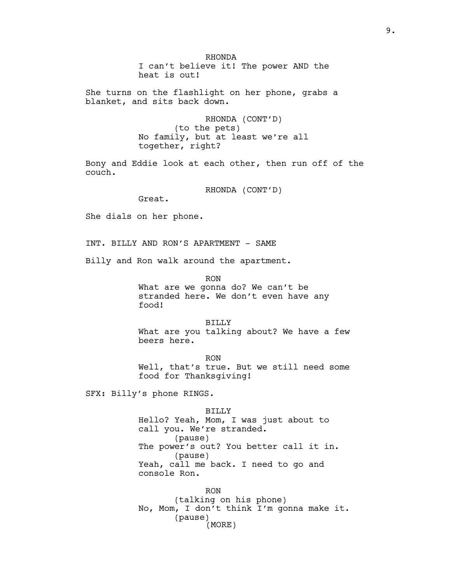RHONDA I can't believe it! The power AND the heat is out!

She turns on the flashlight on her phone, grabs a blanket, and sits back down.

> RHONDA (CONT'D) (to the pets) No family, but at least we're all together, right?

Bony and Eddie look at each other, then run off of the couch.

RHONDA (CONT'D)

Great.

She dials on her phone.

INT. BILLY AND RON'S APARTMENT - SAME

Billy and Ron walk around the apartment.

RON

What are we gonna do? We can't be stranded here. We don't even have any food!

BILLY What are you talking about? We have a few beers here.

RON Well, that's true. But we still need some food for Thanksgiving!

SFX: Billy's phone RINGS.

BILLY Hello? Yeah, Mom, I was just about to call you. We're stranded. (pause) The power's out? You better call it in. (pause) Yeah, call me back. I need to go and console Ron.

RON (talking on his phone) No, Mom, I don't think I'm gonna make it. (pause) (MORE)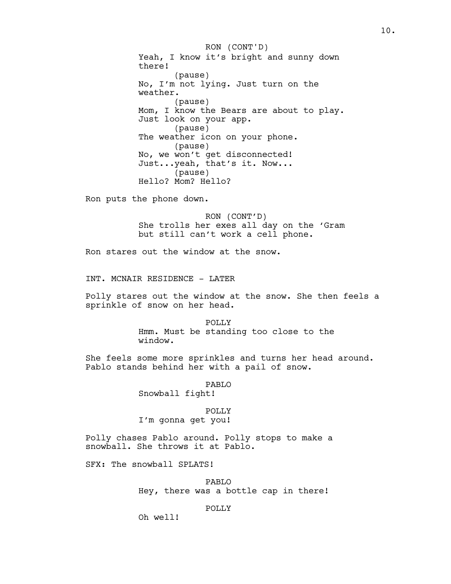Yeah, I know it's bright and sunny down there! (pause) No, I'm not lying. Just turn on the weather. (pause) Mom, I know the Bears are about to play. Just look on your app. (pause) The weather icon on your phone. (pause) No, we won't get disconnected! Just...yeah, that's it. Now... (pause) Hello? Mom? Hello? RON (CONT'D)

Ron puts the phone down.

RON (CONT'D) She trolls her exes all day on the 'Gram but still can't work a cell phone.

Ron stares out the window at the snow.

INT. MCNAIR RESIDENCE - LATER

Polly stares out the window at the snow. She then feels a sprinkle of snow on her head.

> POLLY Hmm. Must be standing too close to the window.

She feels some more sprinkles and turns her head around. Pablo stands behind her with a pail of snow.

PABLO

Snowball fight!

POLLY I'm gonna get you!

Polly chases Pablo around. Polly stops to make a snowball. She throws it at Pablo.

SFX: The snowball SPLATS!

PABLO Hey, there was a bottle cap in there!

POLLY

Oh well!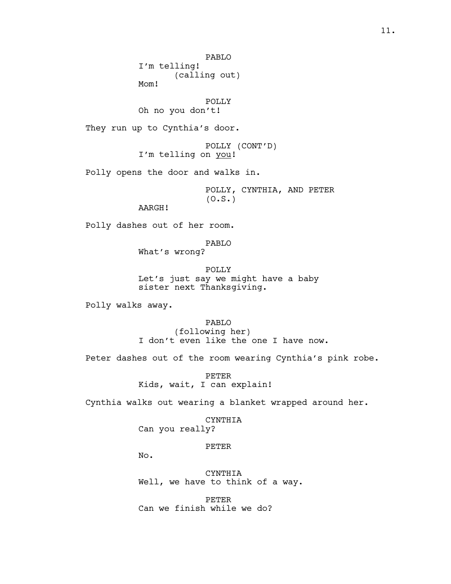PABLO

I'm telling! (calling out) Mom!

POLLY Oh no you don't!

They run up to Cynthia's door.

POLLY (CONT'D) I'm telling on you!

Polly opens the door and walks in.

POLLY, CYNTHIA, AND PETER  $(0.S.)$ 

AARGH!

Polly dashes out of her room.

PABLO What's wrong?

POLLY Let's just say we might have a baby sister next Thanksgiving.

Polly walks away.

PABLO (following her) I don't even like the one I have now.

Peter dashes out of the room wearing Cynthia's pink robe.

PETER Kids, wait, I can explain!

Cynthia walks out wearing a blanket wrapped around her.

# CYNTHIA

Can you really?

PETER

No.

CYNTHIA Well, we have to think of a way.

PETER Can we finish while we do?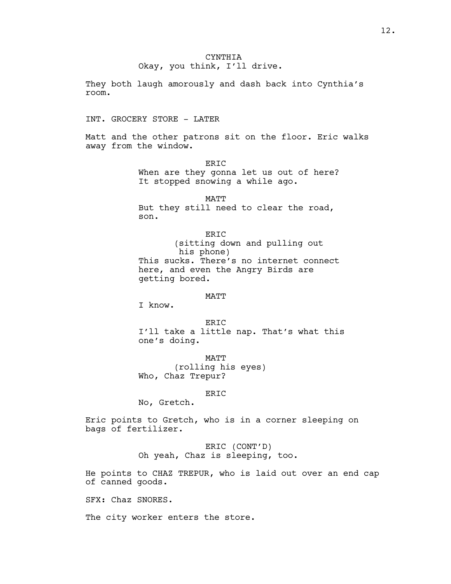They both laugh amorously and dash back into Cynthia's room.

INT. GROCERY STORE - LATER

Matt and the other patrons sit on the floor. Eric walks away from the window.

> ERIC When are they gonna let us out of here? It stopped snowing a while ago.

MATT But they still need to clear the road, son.

ERIC (sitting down and pulling out his phone) This sucks. There's no internet connect here, and even the Angry Birds are getting bored.

### MATT

I know.

ERIC I'll take a little nap. That's what this one's doing.

MATT (rolling his eyes) Who, Chaz Trepur?

## ERIC

No, Gretch.

Eric points to Gretch, who is in a corner sleeping on bags of fertilizer.

> ERIC (CONT'D) Oh yeah, Chaz is sleeping, too.

He points to CHAZ TREPUR, who is laid out over an end cap of canned goods.

SFX: Chaz SNORES.

The city worker enters the store.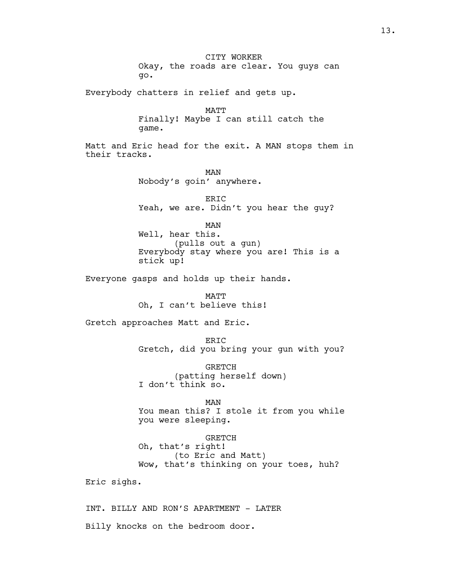CITY WORKER Okay, the roads are clear. You guys can go.

Everybody chatters in relief and gets up.

MATT Finally! Maybe I can still catch the game.

Matt and Eric head for the exit. A MAN stops them in their tracks.

> MAN Nobody's goin' anywhere.

ERIC Yeah, we are. Didn't you hear the guy?

MAN

Well, hear this. (pulls out a gun) Everybody stay where you are! This is a stick up!

Everyone gasps and holds up their hands.

MATT Oh, I can't believe this!

Gretch approaches Matt and Eric.

ERIC Gretch, did you bring your gun with you?

GRETCH (patting herself down) I don't think so.

#### MAN

You mean this? I stole it from you while you were sleeping.

GRETCH Oh, that's right! (to Eric and Matt) Wow, that's thinking on your toes, huh?

Eric sighs.

INT. BILLY AND RON'S APARTMENT - LATER Billy knocks on the bedroom door.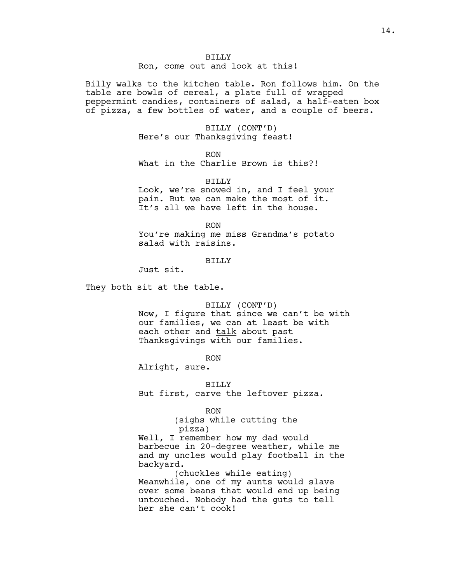BILLY Ron, come out and look at this!

Billy walks to the kitchen table. Ron follows him. On the table are bowls of cereal, a plate full of wrapped peppermint candies, containers of salad, a half-eaten box of pizza, a few bottles of water, and a couple of beers.

> BILLY (CONT'D) Here's our Thanksgiving feast!

> > RON

What in the Charlie Brown is this?!

BILLY

Look, we're snowed in, and I feel your pain. But we can make the most of it. It's all we have left in the house.

RON

You're making me miss Grandma's potato salad with raisins.

## BILLY

Just sit.

They both sit at the table.

BILLY (CONT'D)

Now, I figure that since we can't be with our families, we can at least be with each other and talk about past Thanksgivings with our families.

RON

Alright, sure.

BILLY

But first, carve the leftover pizza.

#### RON

(sighs while cutting the pizza)

Well, I remember how my dad would barbecue in 20-degree weather, while me and my uncles would play football in the backyard.

(chuckles while eating) Meanwhile, one of my aunts would slave over some beans that would end up being untouched. Nobody had the guts to tell her she can't cook!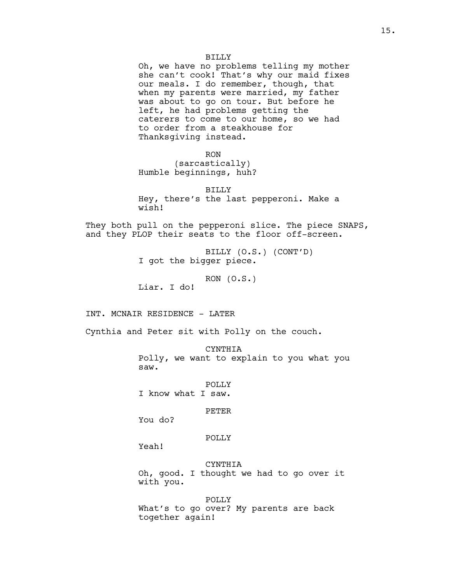Oh, we have no problems telling my mother she can't cook! That's why our maid fixes our meals. I do remember, though, that when my parents were married, my father was about to go on tour. But before he left, he had problems getting the caterers to come to our home, so we had to order from a steakhouse for Thanksgiving instead.

RON

(sarcastically) Humble beginnings, huh?

BILLY Hey, there's the last pepperoni. Make a wish!

They both pull on the pepperoni slice. The piece SNAPS, and they PLOP their seats to the floor off-screen.

> BILLY (O.S.) (CONT'D) I got the bigger piece.

> > $RON (O.S.)$

Liar. I do!

INT. MCNAIR RESIDENCE - LATER

Cynthia and Peter sit with Polly on the couch.

CYNTHIA

Polly, we want to explain to you what you saw.

POLLY I know what I saw.

PETER

You do?

## POLLY

Yeah!

CYNTHIA Oh, good. I thought we had to go over it with you.

POLLY What's to go over? My parents are back together again!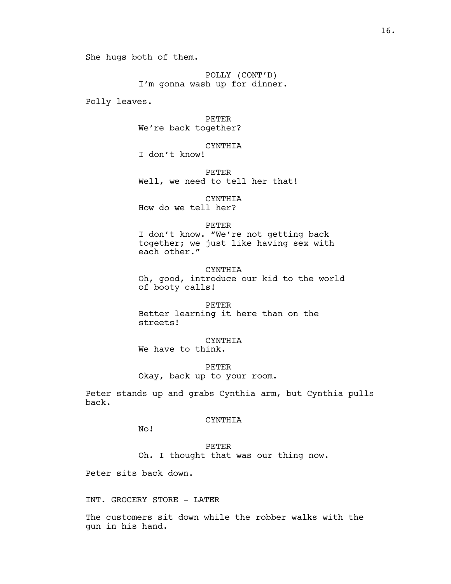She hugs both of them.

POLLY (CONT'D) I'm gonna wash up for dinner.

Polly leaves.

PETER We're back together?

CYNTHIA I don't know!

PETER Well, we need to tell her that!

CYNTHIA How do we tell her?

## PETER

I don't know. "We're not getting back together; we just like having sex with each other."

CYNTHIA Oh, good, introduce our kid to the world of booty calls!

PETER Better learning it here than on the streets!

CYNTHIA We have to think.

PETER Okay, back up to your room.

Peter stands up and grabs Cynthia arm, but Cynthia pulls back.

## CYNTHIA

No!

PETER Oh. I thought that was our thing now.

Peter sits back down.

INT. GROCERY STORE - LATER

The customers sit down while the robber walks with the gun in his hand.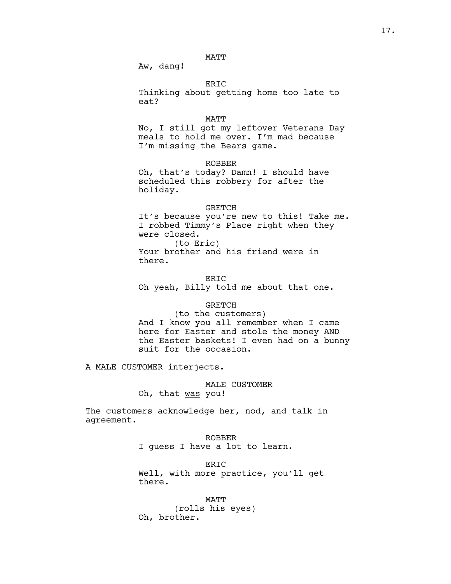## MATT

Aw, dang!

# ERIC

Thinking about getting home too late to eat?

#### MATT

No, I still got my leftover Veterans Day meals to hold me over. I'm mad because I'm missing the Bears game.

## ROBBER

Oh, that's today? Damn! I should have scheduled this robbery for after the holiday.

## GRETCH

It's because you're new to this! Take me. I robbed Timmy's Place right when they were closed.

(to Eric) Your brother and his friend were in there.

ERIC Oh yeah, Billy told me about that one.

## GRETCH

(to the customers) And I know you all remember when I came here for Easter and stole the money AND the Easter baskets! I even had on a bunny suit for the occasion.

A MALE CUSTOMER interjects.

### MALE CUSTOMER

Oh, that was you!

The customers acknowledge her, nod, and talk in agreement.

# ROBBER I guess I have a lot to learn.

ERIC Well, with more practice, you'll get there.

MATT (rolls his eyes) Oh, brother.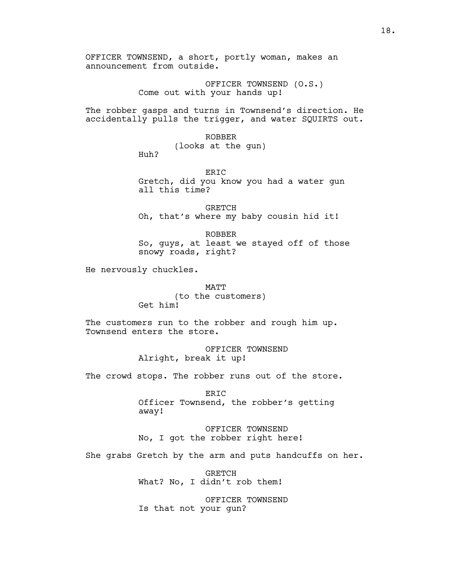OFFICER TOWNSEND, a short, portly woman, makes an announcement from outside.

> OFFICER TOWNSEND (O.S.) Come out with your hands up!

The robber gasps and turns in Townsend's direction. He accidentally pulls the trigger, and water SQUIRTS out.

ROBBER

(looks at the gun)

Huh?

ERIC Gretch, did you know you had a water gun all this time?

GRETCH Oh, that's where my baby cousin hid it!

ROBBER So, guys, at least we stayed off of those snowy roads, right?

He nervously chuckles.

MATT (to the customers) Get him!

The customers run to the robber and rough him up. Townsend enters the store.

> OFFICER TOWNSEND Alright, break it up!

The crowd stops. The robber runs out of the store.

ERIC Officer Townsend, the robber's getting away!

OFFICER TOWNSEND No, I got the robber right here!

She grabs Gretch by the arm and puts handcuffs on her.

GRETCH What? No, I didn't rob them!

OFFICER TOWNSEND Is that not your gun?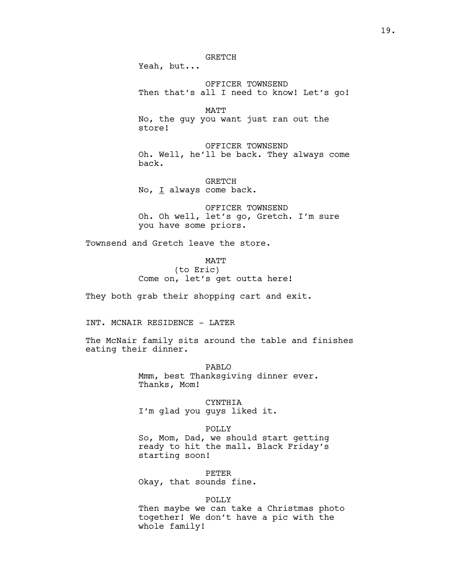OFFICER TOWNSEND

Then that's all I need to know! Let's go!

MATT No, the guy you want just ran out the store!

OFFICER TOWNSEND Oh. Well, he'll be back. They always come back.

GRETCH No, I always come back.

OFFICER TOWNSEND Oh. Oh well, let's go, Gretch. I'm sure you have some priors.

Townsend and Gretch leave the store.

MATT (to Eric) Come on, let's get outta here!

They both grab their shopping cart and exit.

INT. MCNAIR RESIDENCE - LATER

The McNair family sits around the table and finishes eating their dinner.

> PABLO Mmm, best Thanksgiving dinner ever. Thanks, Mom!

CYNTHIA I'm glad you guys liked it.

POLLY So, Mom, Dad, we should start getting ready to hit the mall. Black Friday's starting soon!

PETER Okay, that sounds fine.

POLLY

Then maybe we can take a Christmas photo together! We don't have a pic with the whole family!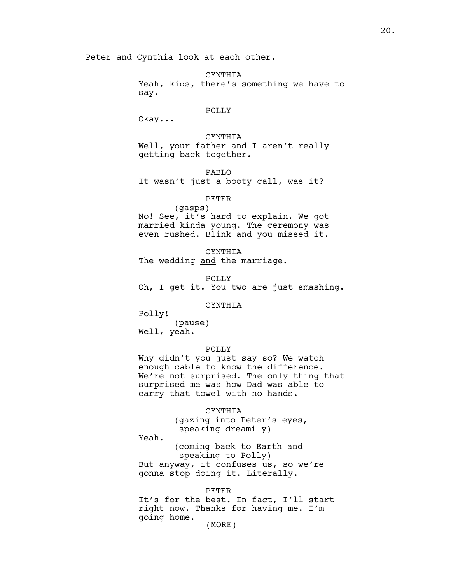Peter and Cynthia look at each other.

CYNTHIA Yeah, kids, there's something we have to say.

### POLLY

Okay...

CYNTHIA Well, your father and I aren't really getting back together.

PABLO It wasn't just a booty call, was it?

## PETER

(gasps) No! See, it's hard to explain. We got married kinda young. The ceremony was even rushed. Blink and you missed it.

CYNTHIA The wedding and the marriage.

POLLY Oh, I get it. You two are just smashing.

## CYNTHIA

Polly! (pause)

Well, yeah.

### POLLY

Why didn't you just say so? We watch enough cable to know the difference. We're not surprised. The only thing that surprised me was how Dad was able to carry that towel with no hands.

### CYNTHIA

(gazing into Peter's eyes, speaking dreamily)

Yeah.

(coming back to Earth and speaking to Polly) But anyway, it confuses us, so we're gonna stop doing it. Literally.

#### PETER

It's for the best. In fact, I'll start right now. Thanks for having me. I'm going home.

(MORE)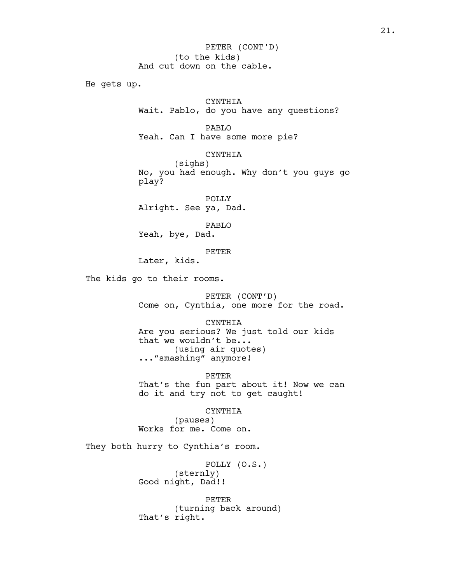He gets up.

## CYNTHIA

Wait. Pablo, do you have any questions?

PABLO

Yeah. Can I have some more pie?

## CYNTHIA

(sighs) No, you had enough. Why don't you guys go play?

POLLY Alright. See ya, Dad.

PABLO Yeah, bye, Dad.

PETER

Later, kids.

The kids go to their rooms.

PETER (CONT'D) Come on, Cynthia, one more for the road.

CYNTHIA Are you serious? We just told our kids that we wouldn't be... (using air quotes) ..."smashing" anymore!

PETER

That's the fun part about it! Now we can do it and try not to get caught!

CYNTHIA

(pauses) Works for me. Come on.

They both hurry to Cynthia's room.

POLLY (O.S.) (sternly) Good night, Dad!!

PETER (turning back around) That's right.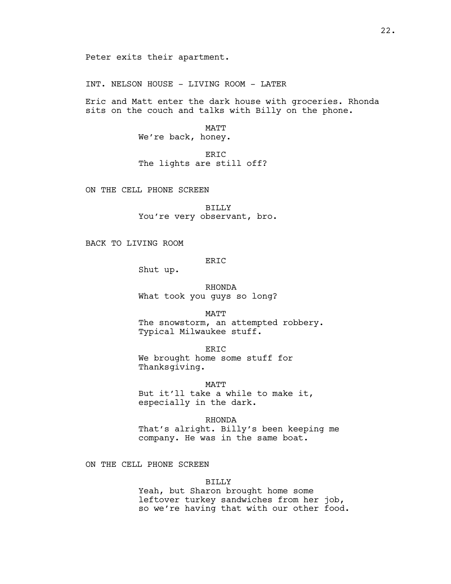INT. NELSON HOUSE - LIVING ROOM - LATER

Eric and Matt enter the dark house with groceries. Rhonda sits on the couch and talks with Billy on the phone.

> MATT We're back, honey.

ERIC The lights are still off?

ON THE CELL PHONE SCREEN

BILLY You're very observant, bro.

BACK TO LIVING ROOM

ERIC

Shut up.

RHONDA What took you guys so long?

MATT

The snowstorm, an attempted robbery. Typical Milwaukee stuff.

ERIC We brought home some stuff for Thanksgiving.

MATT But it'll take a while to make it, especially in the dark.

RHONDA That's alright. Billy's been keeping me company. He was in the same boat.

ON THE CELL PHONE SCREEN

BILLY

Yeah, but Sharon brought home some leftover turkey sandwiches from her job, so we're having that with our other food.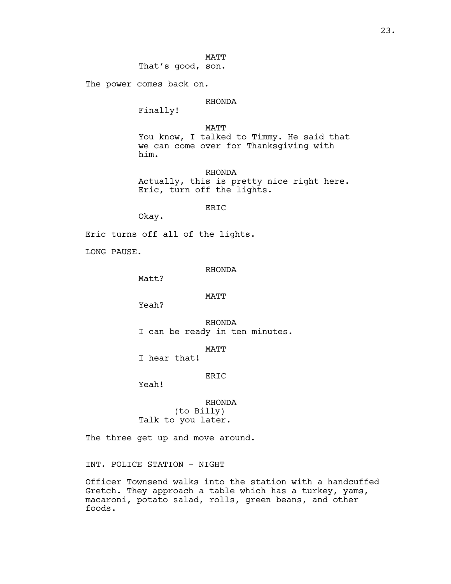MATT

That's good, son.

The power comes back on.

## RHONDA

Finally!

MATT You know, I talked to Timmy. He said that we can come over for Thanksgiving with him.

RHONDA Actually, this is pretty nice right here. Eric, turn off the lights.

ERIC

Okay.

Eric turns off all of the lights.

LONG PAUSE.

### RHONDA

Matt?

## MATT

Yeah?

RHONDA I can be ready in ten minutes.

MATT

I hear that!

ERIC

Yeah!

RHONDA (to Billy) Talk to you later.

The three get up and move around.

INT. POLICE STATION - NIGHT

Officer Townsend walks into the station with a handcuffed Gretch. They approach a table which has a turkey, yams, macaroni, potato salad, rolls, green beans, and other foods.